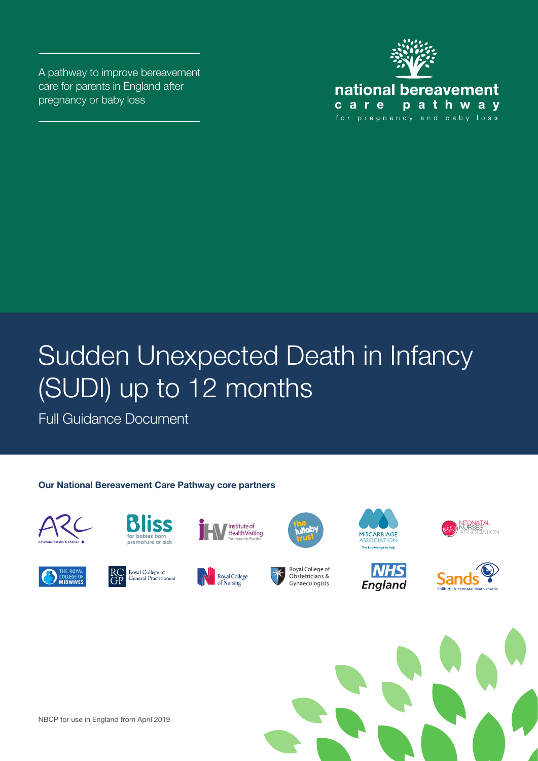A pathway to improve bereavement care for parents in England after pregnancy or baby loss



# Sudden Unexpected Death in Infancy (SUDI) up to 12 months

Full Guidance Document

#### **Our National Bereavement Care Pathway core partners**



























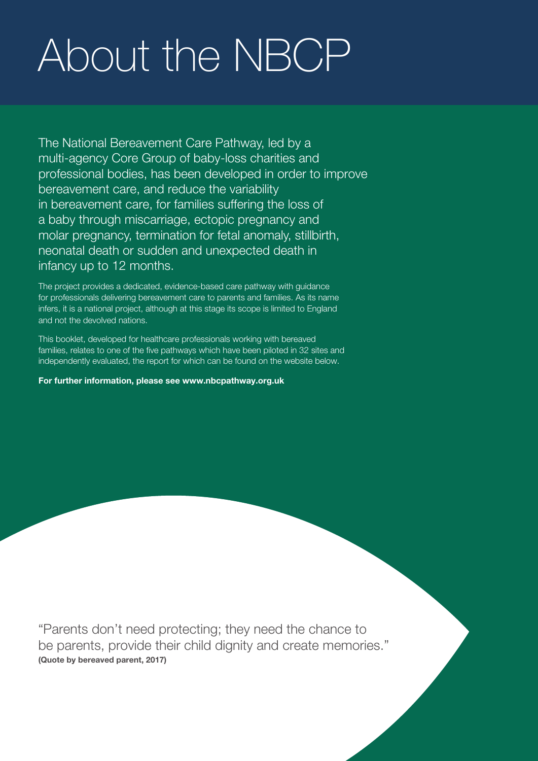# About the NBCP

The National Bereavement Care Pathway, led by a multi-agency Core Group of baby-loss charities and professional bodies, has been developed in order to improve bereavement care, and reduce the variability in bereavement care, for families suffering the loss of a baby through miscarriage, ectopic pregnancy and molar pregnancy, termination for fetal anomaly, stillbirth, neonatal death or sudden and unexpected death in infancy up to 12 months.

The project provides a dedicated, evidence-based care pathway with guidance for professionals delivering bereavement care to parents and families. As its name infers, it is a national project, although at this stage its scope is limited to England and not the devolved nations.

This booklet, developed for healthcare professionals working with bereaved families, relates to one of the five pathways which have been piloted in 32 sites and independently evaluated, the report for which can be found on the website below.

For further information, please see www.nbcpathway.org.uk

"Parents don't need protecting; they need the chance to be parents, provide their child dignity and create memories." **(Quote by bereaved parent, 2017)**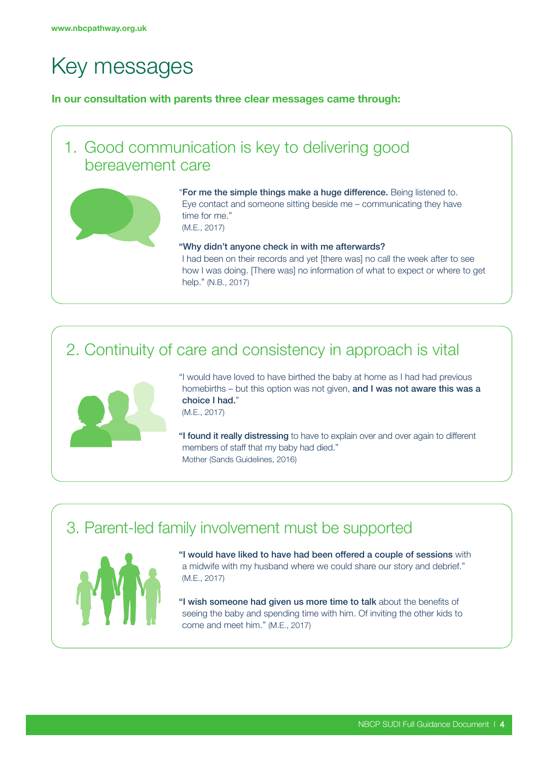# Key messages

In our consultation with parents three clear messages came through:



### 2. Continuity of care and consistency in approach is vital



"I would have loved to have birthed the baby at home as I had had previous homebirths – but this option was not given, and I was not aware this was a choice I had." (M.E., 2017)

"I found it really distressing to have to explain over and over again to different members of staff that my baby had died." Mother (Sands Guidelines, 2016)

### 3. Parent-led family involvement must be supported



"I would have liked to have had been offered a couple of sessions with a midwife with my husband where we could share our story and debrief." (M.E., 2017)

"I wish someone had given us more time to talk about the benefits of seeing the baby and spending time with him. Of inviting the other kids to come and meet him." (M.E., 2017)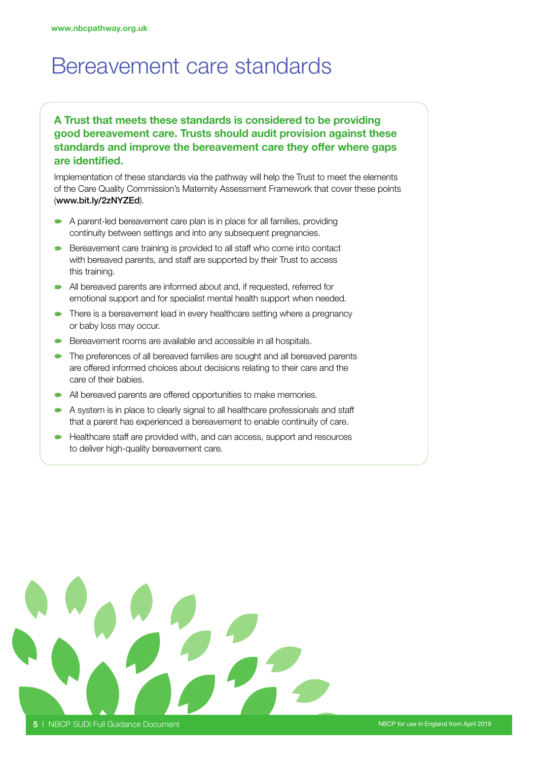### Bereavement care standards

#### A Trust that meets these standards is considered to be providing good bereavement care. Trusts should audit provision against these standards and improve the bereavement care they offer where gaps are identified.

Implementation of these standards via the pathway will help the Trust to meet the elements of the Care Quality Commission's Maternity Assessment Framework that cover these points (www.bit.ly/2zNYZEd).

- A parent-led bereavement care plan is in place for all families, providing continuity between settings and into any subsequent pregnancies.
- Bereavement care training is provided to all staff who come into contact  $\bullet$ with bereaved parents, and staff are supported by their Trust to access this training.
- All bereaved parents are informed about and, if requested, referred for emotional support and for specialist mental health support when needed.
- There is a bereavement lead in every healthcare setting where a pregnancy or baby loss may occur.
- Bereavement rooms are available and accessible in all hospitals.
- The preferences of all bereaved families are sought and all bereaved parents are offered informed choices about decisions relating to their care and the care of their babies.
- All bereaved parents are offered opportunities to make memories.
- A system is in place to clearly signal to all healthcare professionals and staff that a parent has experienced a bereavement to enable continuity of care.
- Healthcare staff are provided with, and can access, support and resources to deliver high-quality bereavement care.

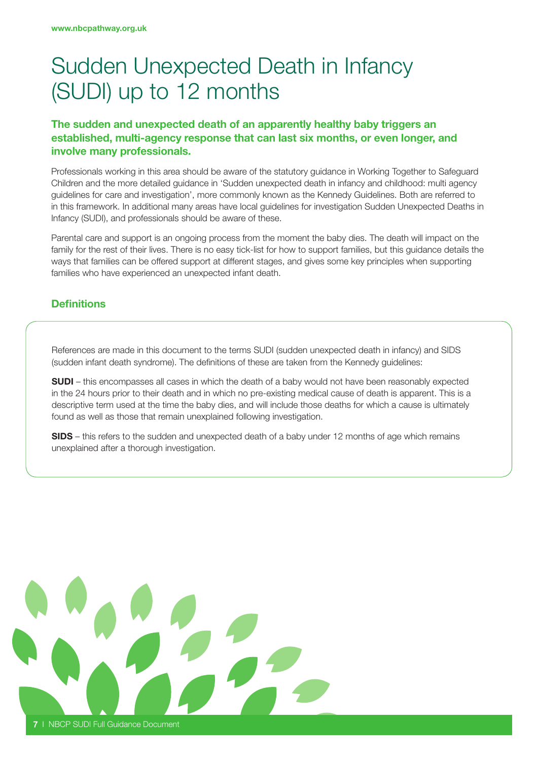# Sudden Unexpected Death in Infancy (SUDI) up to 12 months

#### The sudden and unexpected death of an apparently healthy baby triggers an established, multi-agency response that can last six months, or even longer, and involve many professionals.

Professionals working in this area should be aware of the statutory guidance in Working Together to Safeguard Children and the more detailed guidance in 'Sudden unexpected death in infancy and childhood: multi agency guidelines for care and investigation', more commonly known as the Kennedy Guidelines. Both are referred to in this framework. In additional many areas have local guidelines for investigation Sudden Unexpected Deaths in Infancy (SUDI), and professionals should be aware of these.

Parental care and support is an ongoing process from the moment the baby dies. The death will impact on the family for the rest of their lives. There is no easy tick-list for how to support families, but this guidance details the ways that families can be offered support at different stages, and gives some key principles when supporting families who have experienced an unexpected infant death.

#### **Definitions**

References are made in this document to the terms SUDI (sudden unexpected death in infancy) and SIDS (sudden infant death syndrome). The definitions of these are taken from the Kennedy guidelines:

SUDI – this encompasses all cases in which the death of a baby would not have been reasonably expected in the 24 hours prior to their death and in which no pre-existing medical cause of death is apparent. This is a descriptive term used at the time the baby dies, and will include those deaths for which a cause is ultimately found as well as those that remain unexplained following investigation.

SIDS – this refers to the sudden and unexpected death of a baby under 12 months of age which remains unexplained after a thorough investigation.

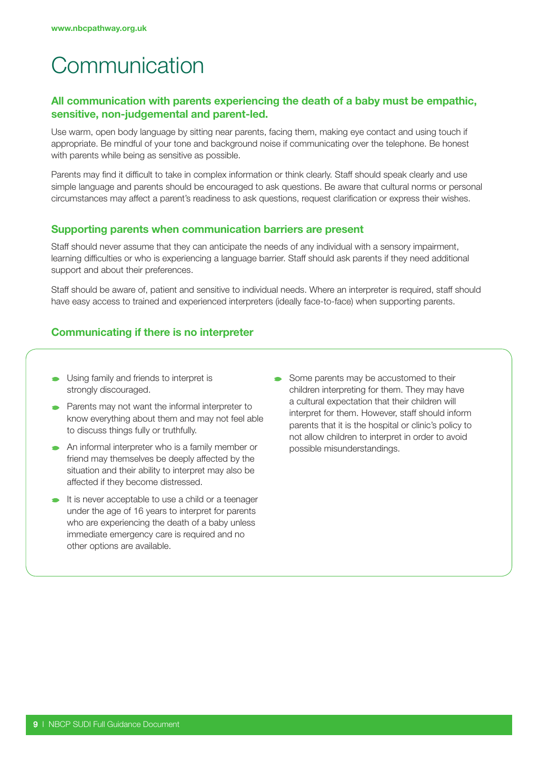# **Communication**

#### All communication with parents experiencing the death of a baby must be empathic, sensitive, non-judgemental and parent-led.

Use warm, open body language by sitting near parents, facing them, making eye contact and using touch if appropriate. Be mindful of your tone and background noise if communicating over the telephone. Be honest with parents while being as sensitive as possible.

Parents may find it difficult to take in complex information or think clearly. Staff should speak clearly and use simple language and parents should be encouraged to ask questions. Be aware that cultural norms or personal circumstances may affect a parent's readiness to ask questions, request clarification or express their wishes.

#### Supporting parents when communication barriers are present

Staff should never assume that they can anticipate the needs of any individual with a sensory impairment, learning difficulties or who is experiencing a language barrier. Staff should ask parents if they need additional support and about their preferences.

Staff should be aware of, patient and sensitive to individual needs. Where an interpreter is required, staff should have easy access to trained and experienced interpreters (ideally face-to-face) when supporting parents.

#### Communicating if there is no interpreter

- Using family and friends to interpret is strongly discouraged.
- **Parents may not want the informal interpreter to** know everything about them and may not feel able to discuss things fully or truthfully.
- An informal interpreter who is a family member or friend may themselves be deeply affected by the situation and their ability to interpret may also be affected if they become distressed.
- It is never acceptable to use a child or a teenager under the age of 16 years to interpret for parents who are experiencing the death of a baby unless immediate emergency care is required and no other options are available.
- Some parents may be accustomed to their children interpreting for them. They may have a cultural expectation that their children will interpret for them. However, staff should inform parents that it is the hospital or clinic's policy to not allow children to interpret in order to avoid possible misunderstandings.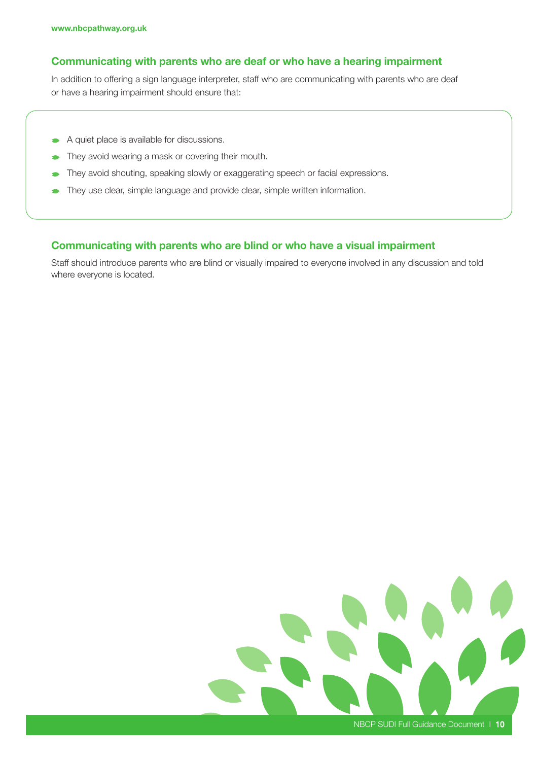#### Communicating with parents who are deaf or who have a hearing impairment

In addition to offering a sign language interpreter, staff who are communicating with parents who are deaf or have a hearing impairment should ensure that:

- A quiet place is available for discussions.
- They avoid wearing a mask or covering their mouth.
- They avoid shouting, speaking slowly or exaggerating speech or facial expressions.
- They use clear, simple language and provide clear, simple written information.

#### Communicating with parents who are blind or who have a visual impairment

Staff should introduce parents who are blind or visually impaired to everyone involved in any discussion and told where everyone is located.

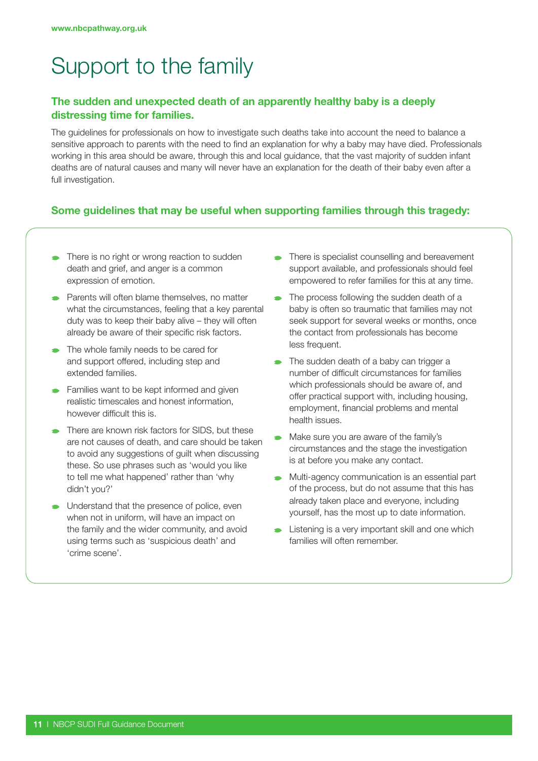# Support to the family

#### The sudden and unexpected death of an apparently healthy baby is a deeply distressing time for families.

The guidelines for professionals on how to investigate such deaths take into account the need to balance a sensitive approach to parents with the need to find an explanation for why a baby may have died. Professionals working in this area should be aware, through this and local guidance, that the vast majority of sudden infant deaths are of natural causes and many will never have an explanation for the death of their baby even after a full investigation.

#### Some guidelines that may be useful when supporting families through this tragedy:

- There is no right or wrong reaction to sudden death and grief, and anger is a common expression of emotion.
- **Parents will often blame themselves, no matter** what the circumstances, feeling that a key parental duty was to keep their baby alive – they will often already be aware of their specific risk factors.
- The whole family needs to be cared for and support offered, including step and extended families.
- **Families want to be kept informed and given** realistic timescales and honest information, however difficult this is.
- There are known risk factors for SIDS, but these are not causes of death, and care should be taken to avoid any suggestions of quilt when discussing these. So use phrases such as 'would you like to tell me what happened' rather than 'why didn't you?'
- **Understand that the presence of police, even** when not in uniform, will have an impact on the family and the wider community, and avoid using terms such as 'suspicious death' and 'crime scene'.
- There is specialist counselling and bereavement support available, and professionals should feel empowered to refer families for this at any time.
- The process following the sudden death of a baby is often so traumatic that families may not seek support for several weeks or months, once the contact from professionals has become less frequent.
- The sudden death of a baby can trigger a number of difficult circumstances for families which professionals should be aware of, and offer practical support with, including housing, employment, financial problems and mental health issues.
- Make sure you are aware of the family's circumstances and the stage the investigation is at before you make any contact.
- Multi-agency communication is an essential part of the process, but do not assume that this has already taken place and everyone, including yourself, has the most up to date information.
- Listening is a very important skill and one which families will often remember.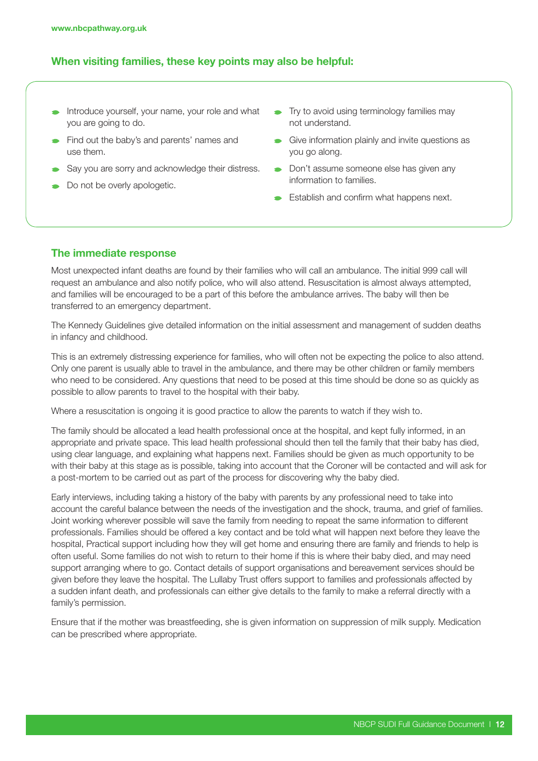#### When visiting families, these key points may also be helpful:

- Introduce yourself, your name, your role and what you are going to do.
- Find out the baby's and parents' names and use them.
- Say you are sorry and acknowledge their distress.
- Do not be overly apologetic.
- Try to avoid using terminology families may not understand.
- Give information plainly and invite questions as you go along.
- **Don't assume someone else has given any** information to families.
- Establish and confirm what happens next.

#### The immediate response

Most unexpected infant deaths are found by their families who will call an ambulance. The initial 999 call will request an ambulance and also notify police, who will also attend. Resuscitation is almost always attempted, and families will be encouraged to be a part of this before the ambulance arrives. The baby will then be transferred to an emergency department.

The Kennedy Guidelines give detailed information on the initial assessment and management of sudden deaths in infancy and childhood.

This is an extremely distressing experience for families, who will often not be expecting the police to also attend. Only one parent is usually able to travel in the ambulance, and there may be other children or family members who need to be considered. Any questions that need to be posed at this time should be done so as quickly as possible to allow parents to travel to the hospital with their baby.

Where a resuscitation is ongoing it is good practice to allow the parents to watch if they wish to.

The family should be allocated a lead health professional once at the hospital, and kept fully informed, in an appropriate and private space. This lead health professional should then tell the family that their baby has died, using clear language, and explaining what happens next. Families should be given as much opportunity to be with their baby at this stage as is possible, taking into account that the Coroner will be contacted and will ask for a post-mortem to be carried out as part of the process for discovering why the baby died.

Early interviews, including taking a history of the baby with parents by any professional need to take into account the careful balance between the needs of the investigation and the shock, trauma, and grief of families. Joint working wherever possible will save the family from needing to repeat the same information to different professionals. Families should be offered a key contact and be told what will happen next before they leave the hospital, Practical support including how they will get home and ensuring there are family and friends to help is often useful. Some families do not wish to return to their home if this is where their baby died, and may need support arranging where to go. Contact details of support organisations and bereavement services should be given before they leave the hospital. The Lullaby Trust offers support to families and professionals affected by a sudden infant death, and professionals can either give details to the family to make a referral directly with a family's permission.

Ensure that if the mother was breastfeeding, she is given information on suppression of milk supply. Medication can be prescribed where appropriate.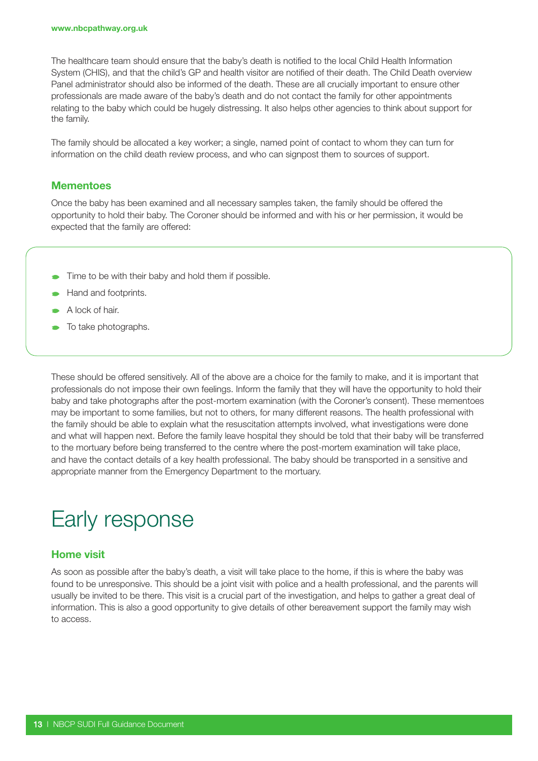The healthcare team should ensure that the baby's death is notified to the local Child Health Information System (CHIS), and that the child's GP and health visitor are notified of their death. The Child Death overview Panel administrator should also be informed of the death. These are all crucially important to ensure other professionals are made aware of the baby's death and do not contact the family for other appointments relating to the baby which could be hugely distressing. It also helps other agencies to think about support for the family.

The family should be allocated a key worker; a single, named point of contact to whom they can turn for information on the child death review process, and who can signpost them to sources of support.

#### **Mementoes**

Once the baby has been examined and all necessary samples taken, the family should be offered the opportunity to hold their baby. The Coroner should be informed and with his or her permission, it would be expected that the family are offered:

- Time to be with their baby and hold them if possible.
- Hand and footprints.
- A lock of hair.
- To take photographs.

These should be offered sensitively. All of the above are a choice for the family to make, and it is important that professionals do not impose their own feelings. Inform the family that they will have the opportunity to hold their baby and take photographs after the post-mortem examination (with the Coroner's consent). These mementoes may be important to some families, but not to others, for many different reasons. The health professional with the family should be able to explain what the resuscitation attempts involved, what investigations were done and what will happen next. Before the family leave hospital they should be told that their baby will be transferred to the mortuary before being transferred to the centre where the post-mortem examination will take place, and have the contact details of a key health professional. The baby should be transported in a sensitive and appropriate manner from the Emergency Department to the mortuary.

### Early response

#### Home visit

As soon as possible after the baby's death, a visit will take place to the home, if this is where the baby was found to be unresponsive. This should be a joint visit with police and a health professional, and the parents will usually be invited to be there. This visit is a crucial part of the investigation, and helps to gather a great deal of information. This is also a good opportunity to give details of other bereavement support the family may wish to access.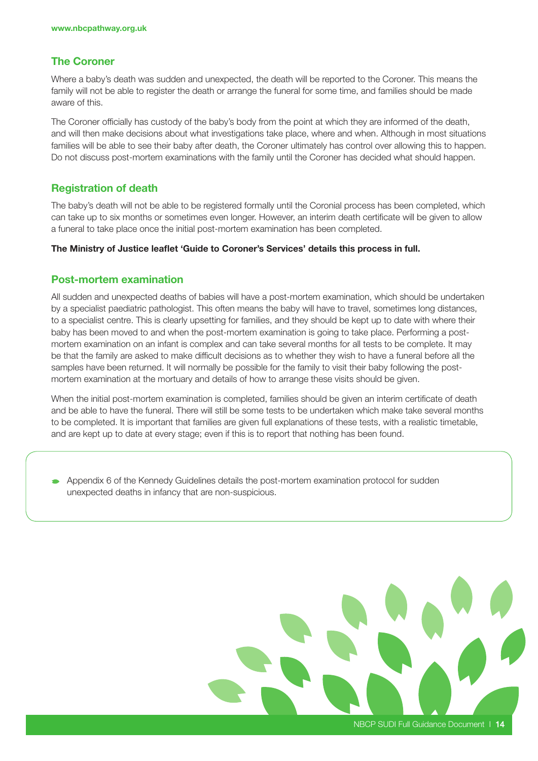#### The Coroner

Where a baby's death was sudden and unexpected, the death will be reported to the Coroner. This means the family will not be able to register the death or arrange the funeral for some time, and families should be made aware of this.

The Coroner officially has custody of the baby's body from the point at which they are informed of the death, and will then make decisions about what investigations take place, where and when. Although in most situations families will be able to see their baby after death, the Coroner ultimately has control over allowing this to happen. Do not discuss post-mortem examinations with the family until the Coroner has decided what should happen.

#### Registration of death

The baby's death will not be able to be registered formally until the Coronial process has been completed, which can take up to six months or sometimes even longer. However, an interim death certificate will be given to allow a funeral to take place once the initial post-mortem examination has been completed.

#### The Ministry of Justice leaflet 'Guide to Coroner's Services' details this process in full.

#### Post-mortem examination

All sudden and unexpected deaths of babies will have a post-mortem examination, which should be undertaken by a specialist paediatric pathologist. This often means the baby will have to travel, sometimes long distances, to a specialist centre. This is clearly upsetting for families, and they should be kept up to date with where their baby has been moved to and when the post-mortem examination is going to take place. Performing a postmortem examination on an infant is complex and can take several months for all tests to be complete. It may be that the family are asked to make difficult decisions as to whether they wish to have a funeral before all the samples have been returned. It will normally be possible for the family to visit their baby following the postmortem examination at the mortuary and details of how to arrange these visits should be given.

When the initial post-mortem examination is completed, families should be given an interim certificate of death and be able to have the funeral. There will still be some tests to be undertaken which make take several months to be completed. It is important that families are given full explanations of these tests, with a realistic timetable, and are kept up to date at every stage; even if this is to report that nothing has been found.

Appendix 6 of the Kennedy Guidelines details the post-mortem examination protocol for sudden unexpected deaths in infancy that are non-suspicious.

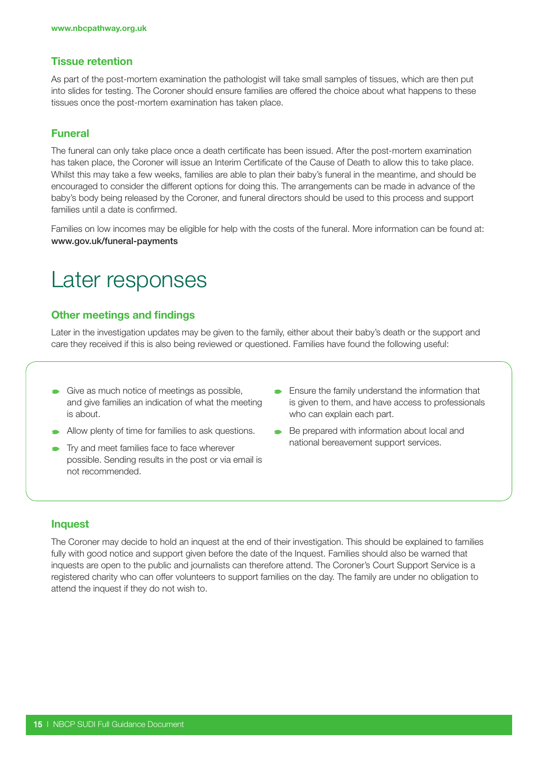#### Tissue retention

As part of the post-mortem examination the pathologist will take small samples of tissues, which are then put into slides for testing. The Coroner should ensure families are offered the choice about what happens to these tissues once the post-mortem examination has taken place.

#### Funeral

The funeral can only take place once a death certificate has been issued. After the post-mortem examination has taken place, the Coroner will issue an Interim Certificate of the Cause of Death to allow this to take place. Whilst this may take a few weeks, families are able to plan their baby's funeral in the meantime, and should be encouraged to consider the different options for doing this. The arrangements can be made in advance of the baby's body being released by the Coroner, and funeral directors should be used to this process and support families until a date is confirmed.

Families on low incomes may be eligible for help with the costs of the funeral. More information can be found at: www.gov.uk/funeral-payments

### Later responses

#### Other meetings and findings

Later in the investigation updates may be given to the family, either about their baby's death or the support and care they received if this is also being reviewed or questioned. Families have found the following useful:

- Give as much notice of meetings as possible, and give families an indication of what the meeting is about.
- Allow plenty of time for families to ask questions.
- **Try and meet families face to face wherever** possible. Sending results in the post or via email is not recommended.
- **Ensure the family understand the information that** is given to them, and have access to professionals who can explain each part.
- Be prepared with information about local and national bereavement support services.

#### Inquest

The Coroner may decide to hold an inquest at the end of their investigation. This should be explained to families fully with good notice and support given before the date of the Inquest. Families should also be warned that inquests are open to the public and journalists can therefore attend. The Coroner's Court Support Service is a registered charity who can offer volunteers to support families on the day. The family are under no obligation to attend the inquest if they do not wish to.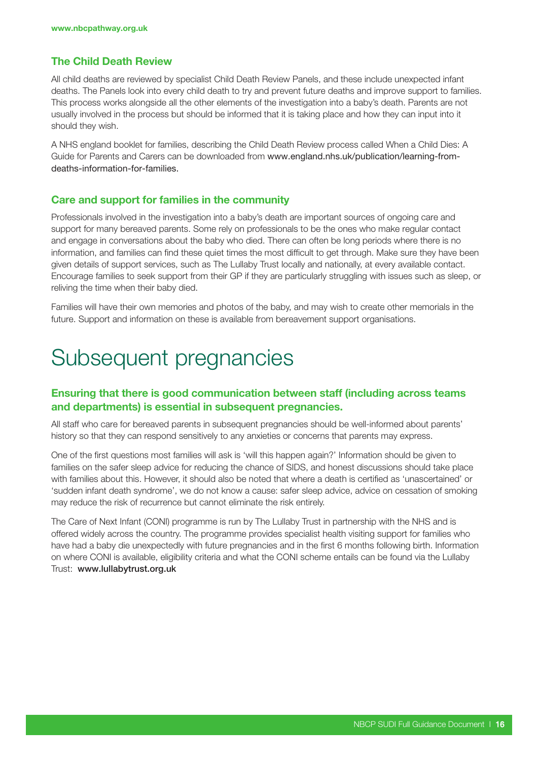#### The Child Death Review

All child deaths are reviewed by specialist Child Death Review Panels, and these include unexpected infant deaths. The Panels look into every child death to try and prevent future deaths and improve support to families. This process works alongside all the other elements of the investigation into a baby's death. Parents are not usually involved in the process but should be informed that it is taking place and how they can input into it should they wish.

A NHS england booklet for families, describing the Child Death Review process called When a Child Dies: A Guide for Parents and Carers can be downloaded from www.england.nhs.uk/publication/learning-fromdeaths-information-for-families.

#### Care and support for families in the community

Professionals involved in the investigation into a baby's death are important sources of ongoing care and support for many bereaved parents. Some rely on professionals to be the ones who make regular contact and engage in conversations about the baby who died. There can often be long periods where there is no information, and families can find these quiet times the most difficult to get through. Make sure they have been given details of support services, such as The Lullaby Trust locally and nationally, at every available contact. Encourage families to seek support from their GP if they are particularly struggling with issues such as sleep, or reliving the time when their baby died.

Families will have their own memories and photos of the baby, and may wish to create other memorials in the future. Support and information on these is available from bereavement support organisations.

### Subsequent pregnancies

#### Ensuring that there is good communication between staff (including across teams and departments) is essential in subsequent pregnancies.

All staff who care for bereaved parents in subsequent pregnancies should be well-informed about parents' history so that they can respond sensitively to any anxieties or concerns that parents may express.

One of the first questions most families will ask is 'will this happen again?' Information should be given to families on the safer sleep advice for reducing the chance of SIDS, and honest discussions should take place with families about this. However, it should also be noted that where a death is certified as 'unascertained' or 'sudden infant death syndrome', we do not know a cause: safer sleep advice, advice on cessation of smoking may reduce the risk of recurrence but cannot eliminate the risk entirely.

The Care of Next Infant (CONI) programme is run by The Lullaby Trust in partnership with the NHS and is offered widely across the country. The programme provides specialist health visiting support for families who have had a baby die unexpectedly with future pregnancies and in the first 6 months following birth. Information on where CONI is available, eligibility criteria and what the CONI scheme entails can be found via the Lullaby Trust: www.lullabytrust.org.uk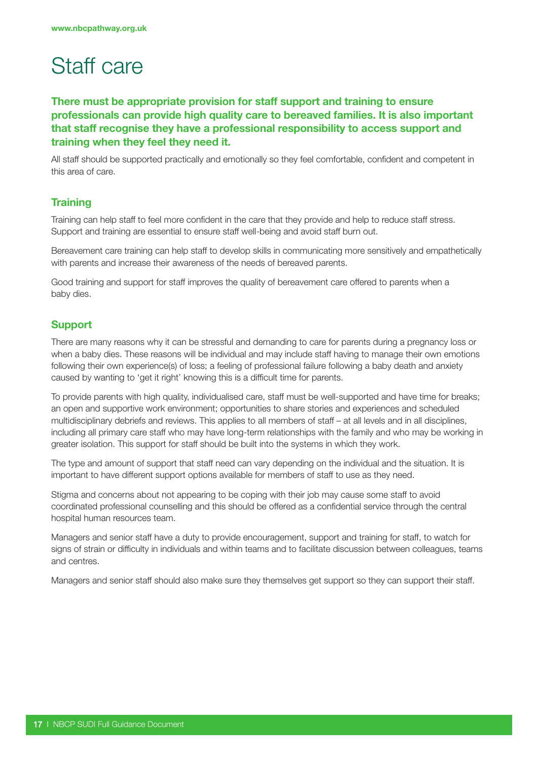## Staff care

#### There must be appropriate provision for staff support and training to ensure professionals can provide high quality care to bereaved families. It is also important that staff recognise they have a professional responsibility to access support and training when they feel they need it.

All staff should be supported practically and emotionally so they feel comfortable, confident and competent in this area of care.

#### **Training**

Training can help staff to feel more confident in the care that they provide and help to reduce staff stress. Support and training are essential to ensure staff well-being and avoid staff burn out.

Bereavement care training can help staff to develop skills in communicating more sensitively and empathetically with parents and increase their awareness of the needs of bereaved parents.

Good training and support for staff improves the quality of bereavement care offered to parents when a baby dies.

#### Support

There are many reasons why it can be stressful and demanding to care for parents during a pregnancy loss or when a baby dies. These reasons will be individual and may include staff having to manage their own emotions following their own experience(s) of loss; a feeling of professional failure following a baby death and anxiety caused by wanting to 'get it right' knowing this is a difficult time for parents.

To provide parents with high quality, individualised care, staff must be well-supported and have time for breaks; an open and supportive work environment; opportunities to share stories and experiences and scheduled multidisciplinary debriefs and reviews. This applies to all members of staff – at all levels and in all disciplines, including all primary care staff who may have long-term relationships with the family and who may be working in greater isolation. This support for staff should be built into the systems in which they work.

The type and amount of support that staff need can vary depending on the individual and the situation. It is important to have different support options available for members of staff to use as they need.

Stigma and concerns about not appearing to be coping with their job may cause some staff to avoid coordinated professional counselling and this should be offered as a confidential service through the central hospital human resources team.

Managers and senior staff have a duty to provide encouragement, support and training for staff, to watch for signs of strain or difficulty in individuals and within teams and to facilitate discussion between colleagues, teams and centres.

Managers and senior staff should also make sure they themselves get support so they can support their staff.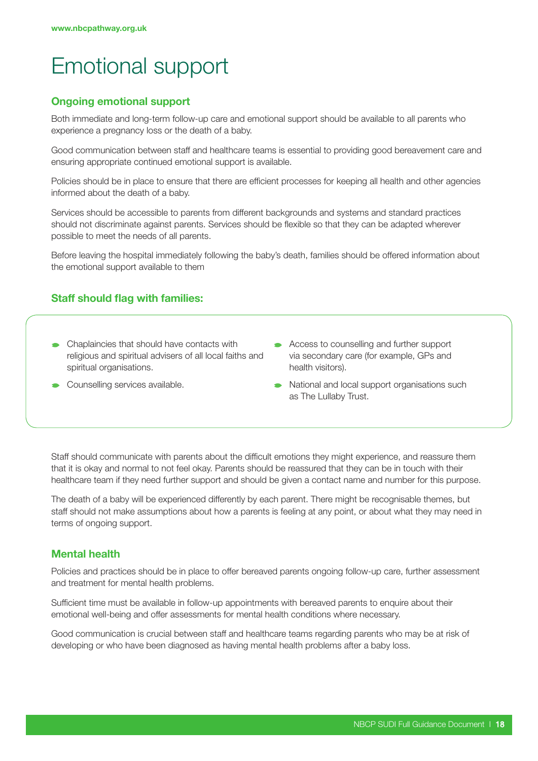# Emotional support

#### Ongoing emotional support

Both immediate and long-term follow-up care and emotional support should be available to all parents who experience a pregnancy loss or the death of a baby.

Good communication between staff and healthcare teams is essential to providing good bereavement care and ensuring appropriate continued emotional support is available.

Policies should be in place to ensure that there are efficient processes for keeping all health and other agencies informed about the death of a baby.

Services should be accessible to parents from different backgrounds and systems and standard practices should not discriminate against parents. Services should be flexible so that they can be adapted wherever possible to meet the needs of all parents.

Before leaving the hospital immediately following the baby's death, families should be offered information about the emotional support available to them

#### Staff should flag with families:

- Chaplaincies that should have contacts with religious and spiritual advisers of all local faiths and spiritual organisations.
- **Counselling services available.**
- Access to counselling and further support via secondary care (for example, GPs and health visitors).
- National and local support organisations such as The Lullaby Trust.

Staff should communicate with parents about the difficult emotions they might experience, and reassure them that it is okay and normal to not feel okay. Parents should be reassured that they can be in touch with their healthcare team if they need further support and should be given a contact name and number for this purpose.

The death of a baby will be experienced differently by each parent. There might be recognisable themes, but staff should not make assumptions about how a parents is feeling at any point, or about what they may need in terms of ongoing support.

#### Mental health

Policies and practices should be in place to offer bereaved parents ongoing follow-up care, further assessment and treatment for mental health problems.

Sufficient time must be available in follow-up appointments with bereaved parents to enquire about their emotional well-being and offer assessments for mental health conditions where necessary.

Good communication is crucial between staff and healthcare teams regarding parents who may be at risk of developing or who have been diagnosed as having mental health problems after a baby loss.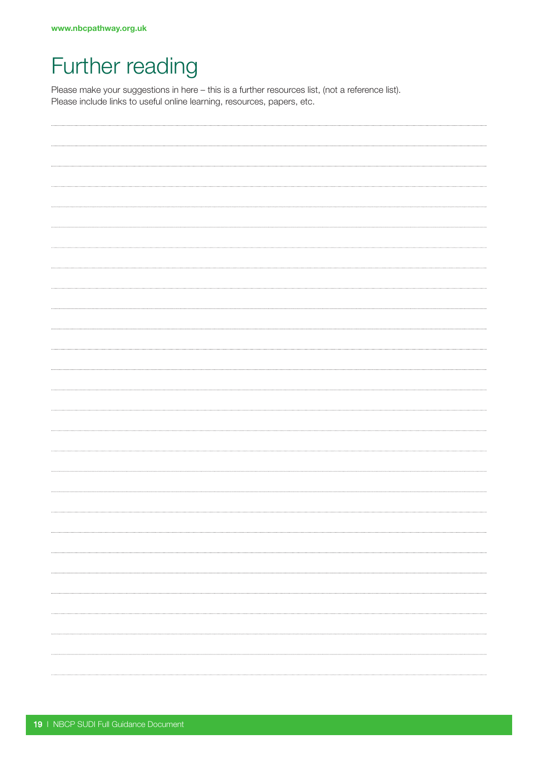## Further reading

Please make your suggestions in here – this is a further resources list, (not a reference list). Please include links to useful online learning, resources, papers, etc.

| . |
|---|
|   |
|   |
|   |
| . |
|   |
|   |
|   |
|   |
|   |
| . |
|   |
|   |
| . |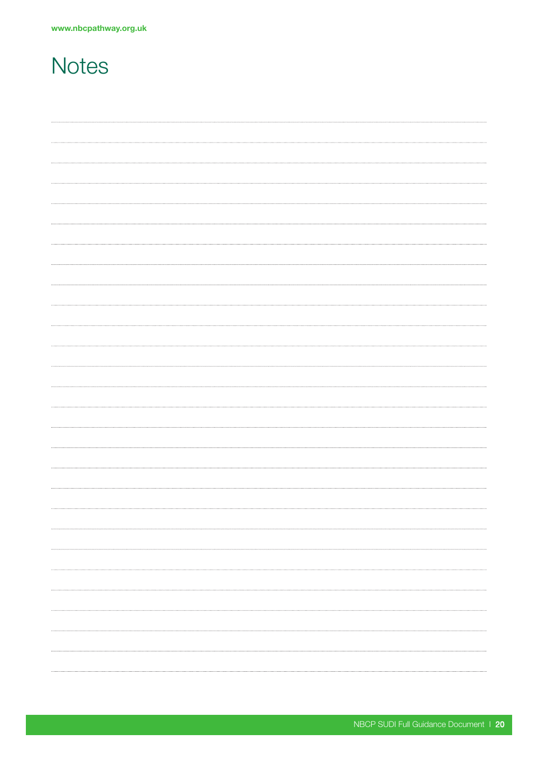### **Notes**

| . |
|---|
|   |
|   |
|   |
| . |
|   |
|   |
|   |
|   |